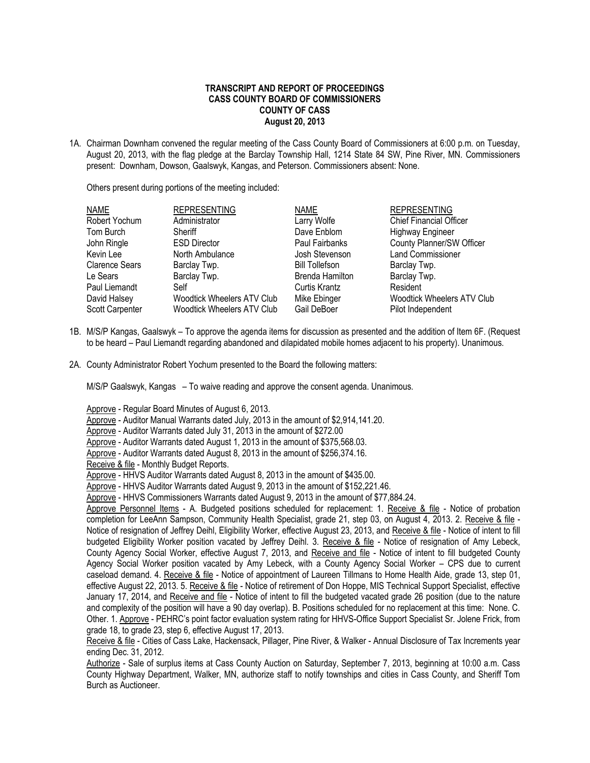## **TRANSCRIPT AND REPORT OF PROCEEDINGS CASS COUNTY BOARD OF COMMISSIONERS COUNTY OF CASS August 20, 2013**

1A. Chairman Downham convened the regular meeting of the Cass County Board of Commissioners at 6:00 p.m. on Tuesday, August 20, 2013, with the flag pledge at the Barclay Township Hall, 1214 State 84 SW, Pine River, MN. Commissioners present: Downham, Dowson, Gaalswyk, Kangas, and Peterson. Commissioners absent: None.

Others present during portions of the meeting included:

| <b>REPRESENTING</b>        | <b>NAME</b>           | <b>REPRESENTING</b>               |
|----------------------------|-----------------------|-----------------------------------|
| Administrator              | Larry Wolfe           | <b>Chief Financial Officer</b>    |
| Sheriff                    | Dave Enblom           | <b>Highway Engineer</b>           |
| <b>ESD Director</b>        | Paul Fairbanks        | County Planner/SW Officer         |
| North Ambulance            | Josh Stevenson        | <b>Land Commissioner</b>          |
| Barclay Twp.               | <b>Bill Tollefson</b> | Barclay Twp.                      |
| Barclay Twp.               | Brenda Hamilton       | Barclay Twp.                      |
| Self                       | <b>Curtis Krantz</b>  | Resident                          |
| Woodtick Wheelers ATV Club | Mike Ebinger          | <b>Woodtick Wheelers ATV Club</b> |
| Woodtick Wheelers ATV Club | Gail DeBoer           | Pilot Independent                 |
|                            |                       |                                   |

- 1B. M/S/P Kangas, Gaalswyk To approve the agenda items for discussion as presented and the addition of Item 6F. (Request to be heard – Paul Liemandt regarding abandoned and dilapidated mobile homes adjacent to his property). Unanimous.
- 2A. County Administrator Robert Yochum presented to the Board the following matters:

M/S/P Gaalswyk, Kangas – To waive reading and approve the consent agenda. Unanimous.

Approve - Regular Board Minutes of August 6, 2013.

- Approve Auditor Manual Warrants dated July, 2013 in the amount of \$2,914,141.20.
- Approve Auditor Warrants dated July 31, 2013 in the amount of \$272.00
- Approve Auditor Warrants dated August 1, 2013 in the amount of \$375,568.03.
- Approve Auditor Warrants dated August 8, 2013 in the amount of \$256,374.16.

Receive & file - Monthly Budget Reports.

Approve - HHVS Auditor Warrants dated August 8, 2013 in the amount of \$435.00.

Approve - HHVS Auditor Warrants dated August 9, 2013 in the amount of \$152,221.46.

Approve - HHVS Commissioners Warrants dated August 9, 2013 in the amount of \$77,884.24.

Approve Personnel Items - A. Budgeted positions scheduled for replacement: 1. Receive & file - Notice of probation completion for LeeAnn Sampson, Community Health Specialist, grade 21, step 03, on August 4, 2013. 2. Receive & file -Notice of resignation of Jeffrey Deihl, Eligibility Worker, effective August 23, 2013, and Receive & file - Notice of intent to fill budgeted Eligibility Worker position vacated by Jeffrey Deihl. 3. Receive & file - Notice of resignation of Amy Lebeck, County Agency Social Worker, effective August 7, 2013, and Receive and file - Notice of intent to fill budgeted County Agency Social Worker position vacated by Amy Lebeck, with a County Agency Social Worker – CPS due to current caseload demand. 4. Receive & file - Notice of appointment of Laureen Tillmans to Home Health Aide, grade 13, step 01, effective August 22, 2013. 5. Receive & file - Notice of retirement of Don Hoppe, MIS Technical Support Specialist, effective January 17, 2014, and Receive and file - Notice of intent to fill the budgeted vacated grade 26 position (due to the nature and complexity of the position will have a 90 day overlap). B. Positions scheduled for no replacement at this time: None. C. Other. 1. Approve - PEHRC's point factor evaluation system rating for HHVS-Office Support Specialist Sr. Jolene Frick, from grade 18, to grade 23, step 6, effective August 17, 2013.

Receive & file - Cities of Cass Lake, Hackensack, Pillager, Pine River, & Walker - Annual Disclosure of Tax Increments year ending Dec. 31, 2012.

Authorize - Sale of surplus items at Cass County Auction on Saturday, September 7, 2013, beginning at 10:00 a.m. Cass County Highway Department, Walker, MN, authorize staff to notify townships and cities in Cass County, and Sheriff Tom Burch as Auctioneer.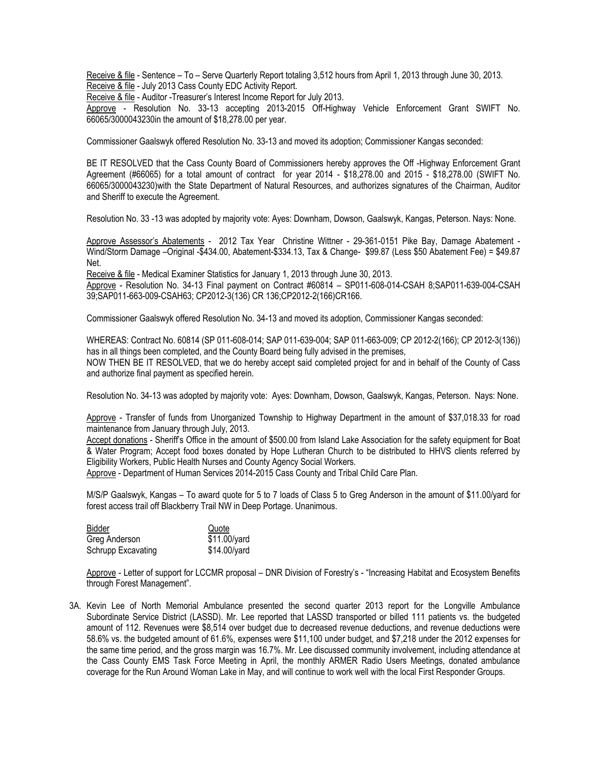Receive & file - Sentence – To – Serve Quarterly Report totaling 3,512 hours from April 1, 2013 through June 30, 2013. Receive & file - July 2013 Cass County EDC Activity Report.

Receive & file - Auditor -Treasurer's Interest Income Report for July 2013.

Approve - Resolution No. 33-13 accepting 2013-2015 Off-Highway Vehicle Enforcement Grant SWIFT No. 66065/3000043230in the amount of \$18,278.00 per year.

Commissioner Gaalswyk offered Resolution No. 33-13 and moved its adoption; Commissioner Kangas seconded:

BE IT RESOLVED that the Cass County Board of Commissioners hereby approves the Off -Highway Enforcement Grant Agreement (#66065) for a total amount of contract for year 2014 - \$18,278.00 and 2015 - \$18,278.00 (SWIFT No. 66065/3000043230)with the State Department of Natural Resources, and authorizes signatures of the Chairman, Auditor and Sheriff to execute the Agreement.

Resolution No. 33 -13 was adopted by majority vote: Ayes: Downham, Dowson, Gaalswyk, Kangas, Peterson. Nays: None.

Approve Assessor's Abatements - 2012 Tax Year Christine Wittner - 29-361-0151 Pike Bay, Damage Abatement - Wind/Storm Damage –Original -\$434.00, Abatement-\$334.13, Tax & Change- \$99.87 (Less \$50 Abatement Fee) = \$49.87 Net.

Receive & file - Medical Examiner Statistics for January 1, 2013 through June 30, 2013.

Approve - Resolution No. 34-13 Final payment on Contract #60814 – SP011-608-014-CSAH 8;SAP011-639-004-CSAH 39;SAP011-663-009-CSAH63; CP2012-3(136) CR 136;CP2012-2(166)CR166.

Commissioner Gaalswyk offered Resolution No. 34-13 and moved its adoption, Commissioner Kangas seconded:

WHEREAS: Contract No. 60814 (SP 011-608-014; SAP 011-639-004; SAP 011-663-009; CP 2012-2(166); CP 2012-3(136)) has in all things been completed, and the County Board being fully advised in the premises,

NOW THEN BE IT RESOLVED, that we do hereby accept said completed project for and in behalf of the County of Cass and authorize final payment as specified herein.

Resolution No. 34-13 was adopted by majority vote: Ayes: Downham, Dowson, Gaalswyk, Kangas, Peterson. Nays: None.

Approve - Transfer of funds from Unorganized Township to Highway Department in the amount of \$37,018.33 for road maintenance from January through July, 2013.

Accept donations - Sheriff's Office in the amount of \$500.00 from Island Lake Association for the safety equipment for Boat & Water Program; Accept food boxes donated by Hope Lutheran Church to be distributed to HHVS clients referred by Eligibility Workers, Public Health Nurses and County Agency Social Workers.

Approve - Department of Human Services 2014-2015 Cass County and Tribal Child Care Plan.

M/S/P Gaalswyk, Kangas – To award quote for 5 to 7 loads of Class 5 to Greg Anderson in the amount of \$11.00/yard for forest access trail off Blackberry Trail NW in Deep Portage. Unanimous.

| Bidder             | Quote        |
|--------------------|--------------|
| Greg Anderson      | \$11.00/yard |
| Schrupp Excavating | \$14.00/yard |

Approve - Letter of support for LCCMR proposal – DNR Division of Forestry's - "Increasing Habitat and Ecosystem Benefits through Forest Management".

3A. Kevin Lee of North Memorial Ambulance presented the second quarter 2013 report for the Longville Ambulance Subordinate Service District (LASSD). Mr. Lee reported that LASSD transported or billed 111 patients vs. the budgeted amount of 112. Revenues were \$8,514 over budget due to decreased revenue deductions, and revenue deductions were 58.6% vs. the budgeted amount of 61.6%, expenses were \$11,100 under budget, and \$7,218 under the 2012 expenses for the same time period, and the gross margin was 16.7%. Mr. Lee discussed community involvement, including attendance at the Cass County EMS Task Force Meeting in April, the monthly ARMER Radio Users Meetings, donated ambulance coverage for the Run Around Woman Lake in May, and will continue to work well with the local First Responder Groups.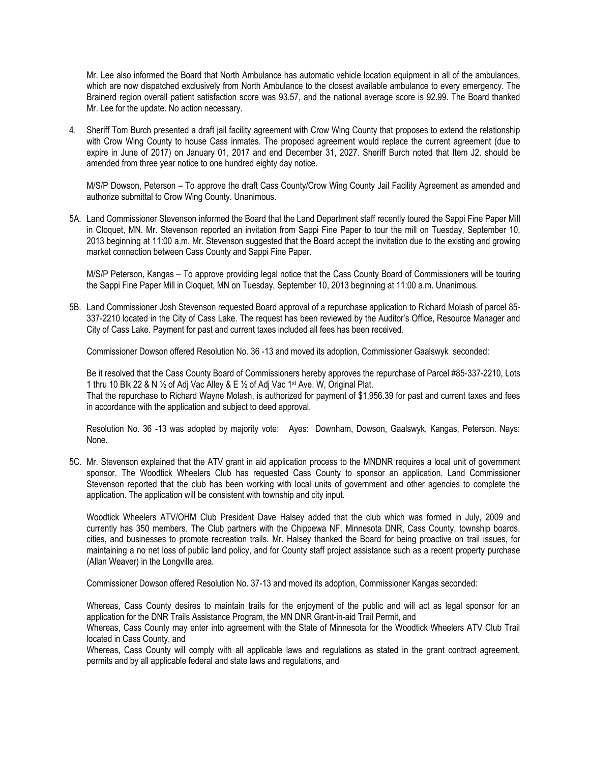Mr. Lee also informed the Board that North Ambulance has automatic vehicle location equipment in all of the ambulances, which are now dispatched exclusively from North Ambulance to the closest available ambulance to every emergency. The Brainerd region overall patient satisfaction score was 93.57, and the national average score is 92.99. The Board thanked Mr. Lee for the update. No action necessary.

4. Sheriff Tom Burch presented a draft jail facility agreement with Crow Wing County that proposes to extend the relationship with Crow Wing County to house Cass inmates. The proposed agreement would replace the current agreement (due to expire in June of 2017) on January 01, 2017 and end December 31, 2027. Sheriff Burch noted that Item J2. should be amended from three year notice to one hundred eighty day notice.

M/S/P Dowson, Peterson – To approve the draft Cass County/Crow Wing County Jail Facility Agreement as amended and authorize submittal to Crow Wing County. Unanimous.

5A. Land Commissioner Stevenson informed the Board that the Land Department staff recently toured the Sappi Fine Paper Mill in Cloquet, MN. Mr. Stevenson reported an invitation from Sappi Fine Paper to tour the mill on Tuesday, September 10, 2013 beginning at 11:00 a.m. Mr. Stevenson suggested that the Board accept the invitation due to the existing and growing market connection between Cass County and Sappi Fine Paper.

M/S/P Peterson, Kangas – To approve providing legal notice that the Cass County Board of Commissioners will be touring the Sappi Fine Paper Mill in Cloquet, MN on Tuesday, September 10, 2013 beginning at 11:00 a.m. Unanimous.

5B. Land Commissioner Josh Stevenson requested Board approval of a repurchase application to Richard Molash of parcel 85- 337-2210 located in the City of Cass Lake. The request has been reviewed by the Auditor's Office, Resource Manager and City of Cass Lake. Payment for past and current taxes included all fees has been received.

Commissioner Dowson offered Resolution No. 36 -13 and moved its adoption, Commissioner Gaalswyk seconded:

Be it resolved that the Cass County Board of Commissioners hereby approves the repurchase of Parcel #85-337-2210, Lots 1 thru 10 Blk 22 & N ½ of Adj Vac Alley & E ½ of Adj Vac 1st Ave. W, Original Plat. That the repurchase to Richard Wayne Molash, is authorized for payment of \$1,956.39 for past and current taxes and fees in accordance with the application and subject to deed approval.

Resolution No. 36 -13 was adopted by majority vote: Ayes: Downham, Dowson, Gaalswyk, Kangas, Peterson. Nays: None.

5C. Mr. Stevenson explained that the ATV grant in aid application process to the MNDNR requires a local unit of government sponsor. The Woodtick Wheelers Club has requested Cass County to sponsor an application. Land Commissioner Stevenson reported that the club has been working with local units of government and other agencies to complete the application. The application will be consistent with township and city input.

Woodtick Wheelers ATV/OHM Club President Dave Halsey added that the club which was formed in July, 2009 and currently has 350 members. The Club partners with the Chippewa NF, Minnesota DNR, Cass County, township boards, cities, and businesses to promote recreation trails. Mr. Halsey thanked the Board for being proactive on trail issues, for maintaining a no net loss of public land policy, and for County staff project assistance such as a recent property purchase (Allan Weaver) in the Longville area.

Commissioner Dowson offered Resolution No. 37-13 and moved its adoption, Commissioner Kangas seconded:

Whereas, Cass County desires to maintain trails for the enjoyment of the public and will act as legal sponsor for an application for the DNR Trails Assistance Program, the MN DNR Grant-in-aid Trail Permit, and

Whereas, Cass County may enter into agreement with the State of Minnesota for the Woodtick Wheelers ATV Club Trail located in Cass County, and

Whereas, Cass County will comply with all applicable laws and regulations as stated in the grant contract agreement, permits and by all applicable federal and state laws and regulations, and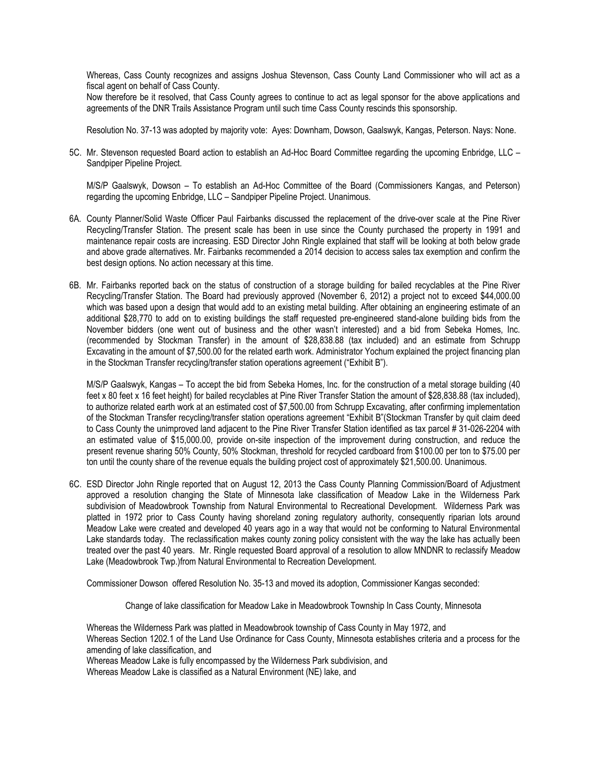Whereas, Cass County recognizes and assigns Joshua Stevenson, Cass County Land Commissioner who will act as a fiscal agent on behalf of Cass County.

Now therefore be it resolved, that Cass County agrees to continue to act as legal sponsor for the above applications and agreements of the DNR Trails Assistance Program until such time Cass County rescinds this sponsorship.

Resolution No. 37-13 was adopted by majority vote: Ayes: Downham, Dowson, Gaalswyk, Kangas, Peterson. Nays: None.

5C. Mr. Stevenson requested Board action to establish an Ad-Hoc Board Committee regarding the upcoming Enbridge, LLC – Sandpiper Pipeline Project.

M/S/P Gaalswyk, Dowson – To establish an Ad-Hoc Committee of the Board (Commissioners Kangas, and Peterson) regarding the upcoming Enbridge, LLC – Sandpiper Pipeline Project. Unanimous.

- 6A. County Planner/Solid Waste Officer Paul Fairbanks discussed the replacement of the drive-over scale at the Pine River Recycling/Transfer Station. The present scale has been in use since the County purchased the property in 1991 and maintenance repair costs are increasing. ESD Director John Ringle explained that staff will be looking at both below grade and above grade alternatives. Mr. Fairbanks recommended a 2014 decision to access sales tax exemption and confirm the best design options. No action necessary at this time.
- 6B. Mr. Fairbanks reported back on the status of construction of a storage building for bailed recyclables at the Pine River Recycling/Transfer Station. The Board had previously approved (November 6, 2012) a project not to exceed \$44,000.00 which was based upon a design that would add to an existing metal building. After obtaining an engineering estimate of an additional \$28,770 to add on to existing buildings the staff requested pre-engineered stand-alone building bids from the November bidders (one went out of business and the other wasn't interested) and a bid from Sebeka Homes, Inc. (recommended by Stockman Transfer) in the amount of \$28,838.88 (tax included) and an estimate from Schrupp Excavating in the amount of \$7,500.00 for the related earth work. Administrator Yochum explained the project financing plan in the Stockman Transfer recycling/transfer station operations agreement ("Exhibit B").

M/S/P Gaalswyk, Kangas – To accept the bid from Sebeka Homes, Inc. for the construction of a metal storage building (40 feet x 80 feet x 16 feet height) for bailed recyclables at Pine River Transfer Station the amount of \$28,838.88 (tax included), to authorize related earth work at an estimated cost of \$7,500.00 from Schrupp Excavating, after confirming implementation of the Stockman Transfer recycling/transfer station operations agreement "Exhibit B"(Stockman Transfer by quit claim deed to Cass County the unimproved land adjacent to the Pine River Transfer Station identified as tax parcel # 31-026-2204 with an estimated value of \$15,000.00, provide on-site inspection of the improvement during construction, and reduce the present revenue sharing 50% County, 50% Stockman, threshold for recycled cardboard from \$100.00 per ton to \$75.00 per ton until the county share of the revenue equals the building project cost of approximately \$21,500.00. Unanimous.

6C. ESD Director John Ringle reported that on August 12, 2013 the Cass County Planning Commission/Board of Adjustment approved a resolution changing the State of Minnesota lake classification of Meadow Lake in the Wilderness Park subdivision of Meadowbrook Township from Natural Environmental to Recreational Development. Wilderness Park was platted in 1972 prior to Cass County having shoreland zoning regulatory authority, consequently riparian lots around Meadow Lake were created and developed 40 years ago in a way that would not be conforming to Natural Environmental Lake standards today. The reclassification makes county zoning policy consistent with the way the lake has actually been treated over the past 40 years. Mr. Ringle requested Board approval of a resolution to allow MNDNR to reclassify Meadow Lake (Meadowbrook Twp.)from Natural Environmental to Recreation Development.

Commissioner Dowson offered Resolution No. 35-13 and moved its adoption, Commissioner Kangas seconded:

Change of lake classification for Meadow Lake in Meadowbrook Township In Cass County, Minnesota

Whereas the Wilderness Park was platted in Meadowbrook township of Cass County in May 1972, and Whereas Section 1202.1 of the Land Use Ordinance for Cass County, Minnesota establishes criteria and a process for the amending of lake classification, and

Whereas Meadow Lake is fully encompassed by the Wilderness Park subdivision, and

Whereas Meadow Lake is classified as a Natural Environment (NE) lake, and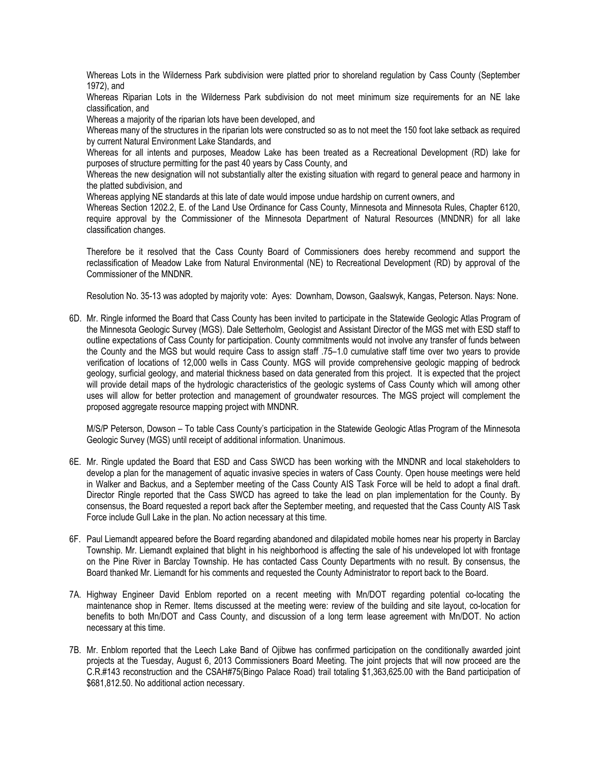Whereas Lots in the Wilderness Park subdivision were platted prior to shoreland regulation by Cass County (September 1972), and

Whereas Riparian Lots in the Wilderness Park subdivision do not meet minimum size requirements for an NE lake classification, and

Whereas a majority of the riparian lots have been developed, and

Whereas many of the structures in the riparian lots were constructed so as to not meet the 150 foot lake setback as required by current Natural Environment Lake Standards, and

Whereas for all intents and purposes, Meadow Lake has been treated as a Recreational Development (RD) lake for purposes of structure permitting for the past 40 years by Cass County, and

Whereas the new designation will not substantially alter the existing situation with regard to general peace and harmony in the platted subdivision, and

Whereas applying NE standards at this late of date would impose undue hardship on current owners, and

Whereas Section 1202.2, E. of the Land Use Ordinance for Cass County, Minnesota and Minnesota Rules, Chapter 6120, require approval by the Commissioner of the Minnesota Department of Natural Resources (MNDNR) for all lake classification changes.

Therefore be it resolved that the Cass County Board of Commissioners does hereby recommend and support the reclassification of Meadow Lake from Natural Environmental (NE) to Recreational Development (RD) by approval of the Commissioner of the MNDNR.

Resolution No. 35-13 was adopted by majority vote: Ayes: Downham, Dowson, Gaalswyk, Kangas, Peterson. Nays: None.

6D. Mr. Ringle informed the Board that Cass County has been invited to participate in the Statewide Geologic Atlas Program of the Minnesota Geologic Survey (MGS). Dale Setterholm, Geologist and Assistant Director of the MGS met with ESD staff to outline expectations of Cass County for participation. County commitments would not involve any transfer of funds between the County and the MGS but would require Cass to assign staff .75–1.0 cumulative staff time over two years to provide verification of locations of 12,000 wells in Cass County. MGS will provide comprehensive geologic mapping of bedrock geology, surficial geology, and material thickness based on data generated from this project. It is expected that the project will provide detail maps of the hydrologic characteristics of the geologic systems of Cass County which will among other uses will allow for better protection and management of groundwater resources. The MGS project will complement the proposed aggregate resource mapping project with MNDNR.

M/S/P Peterson, Dowson – To table Cass County's participation in the Statewide Geologic Atlas Program of the Minnesota Geologic Survey (MGS) until receipt of additional information. Unanimous.

- 6E. Mr. Ringle updated the Board that ESD and Cass SWCD has been working with the MNDNR and local stakeholders to develop a plan for the management of aquatic invasive species in waters of Cass County. Open house meetings were held in Walker and Backus, and a September meeting of the Cass County AIS Task Force will be held to adopt a final draft. Director Ringle reported that the Cass SWCD has agreed to take the lead on plan implementation for the County. By consensus, the Board requested a report back after the September meeting, and requested that the Cass County AIS Task Force include Gull Lake in the plan. No action necessary at this time.
- 6F. Paul Liemandt appeared before the Board regarding abandoned and dilapidated mobile homes near his property in Barclay Township. Mr. Liemandt explained that blight in his neighborhood is affecting the sale of his undeveloped lot with frontage on the Pine River in Barclay Township. He has contacted Cass County Departments with no result. By consensus, the Board thanked Mr. Liemandt for his comments and requested the County Administrator to report back to the Board.
- 7A. Highway Engineer David Enblom reported on a recent meeting with Mn/DOT regarding potential co-locating the maintenance shop in Remer. Items discussed at the meeting were: review of the building and site layout, co-location for benefits to both Mn/DOT and Cass County, and discussion of a long term lease agreement with Mn/DOT. No action necessary at this time.
- 7B. Mr. Enblom reported that the Leech Lake Band of Ojibwe has confirmed participation on the conditionally awarded joint projects at the Tuesday, August 6, 2013 Commissioners Board Meeting. The joint projects that will now proceed are the C.R.#143 reconstruction and the CSAH#75(Bingo Palace Road) trail totaling \$1,363,625.00 with the Band participation of \$681,812.50. No additional action necessary.